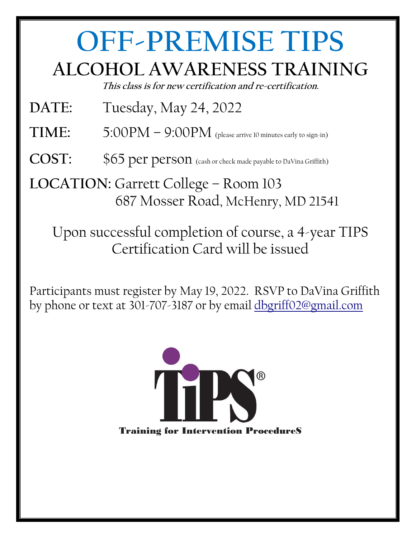## **OFF-PREMISE TIPS ALCOHOL AWARENESS TRAINING**

**This class is for new certification and re-certification.** 

- **DATE:** Tuesday, May 24, 2022
- **TIME:**  $5:00PM 9:00PM$  (please arrive 10 minutes early to sign-in)
- COST:  $$65$  per person (cash or check made payable to DaVina Griffith)

**LOCATION:** Garrett College – Room 103 687 Mosser Road, McHenry, MD 21541

Upon successful completion of course, a 4-year TIPS Certification Card will be issued

Participants must register by May 19, 2022. RSVP to DaVina Griffith by phone or text at 301-707-3187 or by email [dbgriff02@gmail.com](mailto:dbgriff02@gmail.com)